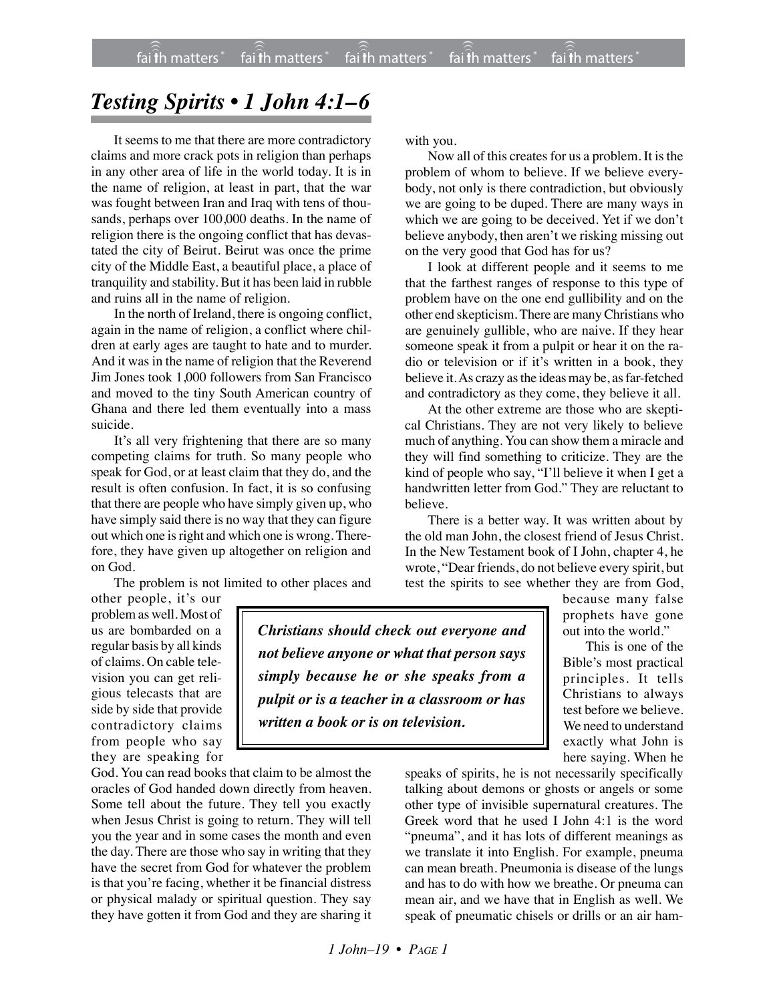## *Testing Spirits • 1 John 4:1–6*

It seems to me that there are more contradictory claims and more crack pots in religion than perhaps in any other area of life in the world today. It is in the name of religion, at least in part, that the war was fought between Iran and Iraq with tens of thousands, perhaps over 100,000 deaths. In the name of religion there is the ongoing conflict that has devastated the city of Beirut. Beirut was once the prime city of the Middle East, a beautiful place, a place of tranquility and stability. But it has been laid in rubble and ruins all in the name of religion.

In the north of Ireland, there is ongoing conflict, again in the name of religion, a conflict where children at early ages are taught to hate and to murder. And it was in the name of religion that the Reverend Jim Jones took 1,000 followers from San Francisco and moved to the tiny South American country of Ghana and there led them eventually into a mass suicide.

It's all very frightening that there are so many competing claims for truth. So many people who speak for God, or at least claim that they do, and the result is often confusion. In fact, it is so confusing that there are people who have simply given up, who have simply said there is no way that they can figure out which one is right and which one is wrong. Therefore, they have given up altogether on religion and on God.

The problem is not limited to other places and

other people, it's our problem as well. Most of us are bombarded on a regular basis by all kinds of claims. On cable television you can get religious telecasts that are side by side that provide contradictory claims from people who say they are speaking for

God. You can read books that claim to be almost the oracles of God handed down directly from heaven. Some tell about the future. They tell you exactly when Jesus Christ is going to return. They will tell you the year and in some cases the month and even the day. There are those who say in writing that they have the secret from God for whatever the problem is that you're facing, whether it be financial distress or physical malady or spiritual question. They say they have gotten it from God and they are sharing it with you.

Now all of this creates for us a problem. It is the problem of whom to believe. If we believe everybody, not only is there contradiction, but obviously we are going to be duped. There are many ways in which we are going to be deceived. Yet if we don't believe anybody, then aren't we risking missing out on the very good that God has for us?

I look at different people and it seems to me that the farthest ranges of response to this type of problem have on the one end gullibility and on the other end skepticism. There are many Christians who are genuinely gullible, who are naive. If they hear someone speak it from a pulpit or hear it on the radio or television or if it's written in a book, they believe it. As crazy as the ideasmay be, as far-fetched and contradictory as they come, they believe it all.

At the other extreme are those who are skeptical Christians. They are not very likely to believe much of anything. You can show them a miracle and they will find something to criticize. They are the kind of people who say, "I'll believe it when I get a handwritten letter from God." They are reluctant to believe.

There is a better way. It was written about by the old man John, the closest friend of Jesus Christ. In the New Testament book of I John, chapter 4, he wrote, "Dear friends, do not believe every spirit, but test the spirits to see whether they are from God,

> because many false prophets have gone out into the world."

This is one of the Bible's most practical principles. It tells Christians to always test before we believe. We need to understand exactly what John is here saying. When he

speaks of spirits, he is not necessarily specifically talking about demons or ghosts or angels or some other type of invisible supernatural creatures. The Greek word that he used I John 4:1 is the word "pneuma", and it has lots of different meanings as we translate it into English. For example, pneuma can mean breath. Pneumonia is disease of the lungs and has to do with how we breathe. Or pneuma can mean air, and we have that in English as well. We speak of pneumatic chisels or drills or an air ham-

*Christians should check out everyone and not believe anyone or what that person says simply because he or she speaks from a pulpit or is a teacher in a classroom or has written a book or is on television.*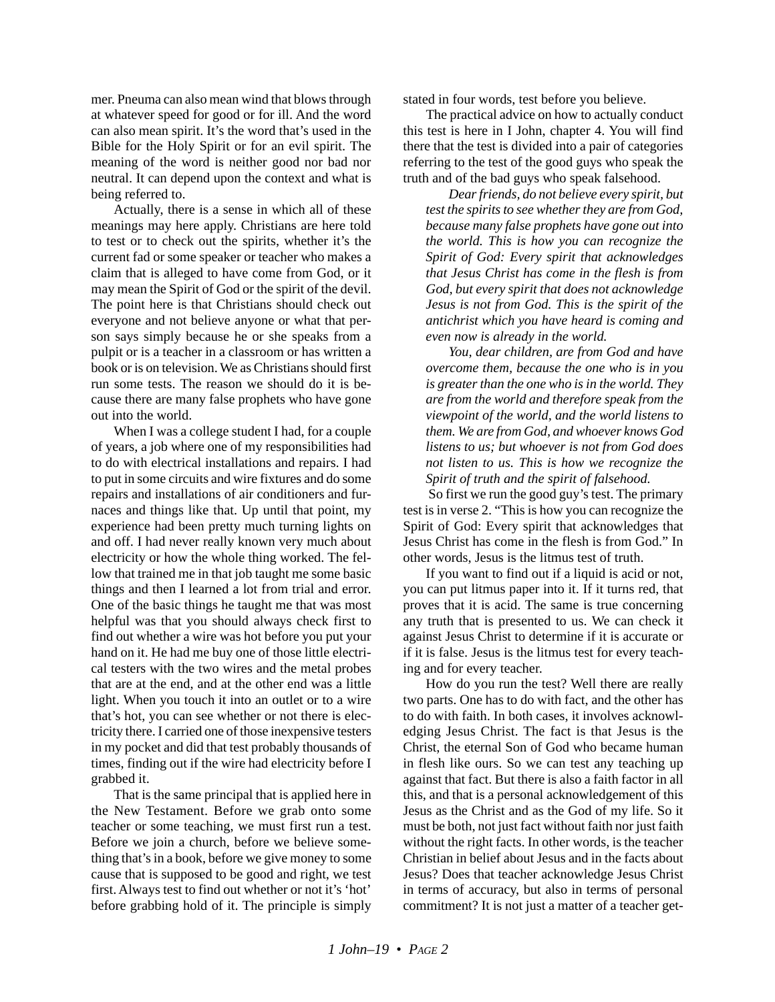mer. Pneuma can also mean wind that blows through at whatever speed for good or for ill. And the word can also mean spirit. It's the word that's used in the Bible for the Holy Spirit or for an evil spirit. The meaning of the word is neither good nor bad nor neutral. It can depend upon the context and what is being referred to.

Actually, there is a sense in which all of these meanings may here apply. Christians are here told to test or to check out the spirits, whether it's the current fad or some speaker or teacher who makes a claim that is alleged to have come from God, or it may mean the Spirit of God or the spirit of the devil. The point here is that Christians should check out everyone and not believe anyone or what that person says simply because he or she speaks from a pulpit or is a teacher in a classroom or has written a book or is on television. We as Christians should first run some tests. The reason we should do it is because there are many false prophets who have gone out into the world.

When I was a college student I had, for a couple of years, a job where one of my responsibilities had to do with electrical installations and repairs. I had to put in some circuits and wire fixtures and do some repairs and installations of air conditioners and furnaces and things like that. Up until that point, my experience had been pretty much turning lights on and off. I had never really known very much about electricity or how the whole thing worked. The fellow that trained me in that job taught me some basic things and then I learned a lot from trial and error. One of the basic things he taught me that was most helpful was that you should always check first to find out whether a wire was hot before you put your hand on it. He had me buy one of those little electrical testers with the two wires and the metal probes that are at the end, and at the other end was a little light. When you touch it into an outlet or to a wire that's hot, you can see whether or not there is electricity there. I carried one of those inexpensive testers in my pocket and did that test probably thousands of times, finding out if the wire had electricity before I grabbed it.

That is the same principal that is applied here in the New Testament. Before we grab onto some teacher or some teaching, we must first run a test. Before we join a church, before we believe something that's in a book, before we give money to some cause that is supposed to be good and right, we test first. Always test to find out whether or not it's 'hot' before grabbing hold of it. The principle is simply stated in four words, test before you believe.

The practical advice on how to actually conduct this test is here in I John, chapter 4. You will find there that the test is divided into a pair of categories referring to the test of the good guys who speak the truth and of the bad guys who speak falsehood.

*Dear friends, do not believe every spirit, but test the spirits to see whether they are from God, because many false prophets have gone out into the world. This is how you can recognize the Spirit of God: Every spirit that acknowledges that Jesus Christ has come in the flesh is from God, but every spirit that does not acknowledge Jesus is not from God. This is the spirit of the antichrist which you have heard is coming and even now is already in the world.*

*You, dear children, are from God and have overcome them, because the one who is in you is greater than the one who is in the world. They are from the world and therefore speak from the viewpoint of the world, and the world listens to them. We are from God, and whoever knows God listens to us; but whoever is not from God does not listen to us. This is how we recognize the Spirit of truth and the spirit of falsehood.*

 So first we run the good guy's test. The primary test is in verse 2. "This is how you can recognize the Spirit of God: Every spirit that acknowledges that Jesus Christ has come in the flesh is from God." In other words, Jesus is the litmus test of truth.

If you want to find out if a liquid is acid or not, you can put litmus paper into it. If it turns red, that proves that it is acid. The same is true concerning any truth that is presented to us. We can check it against Jesus Christ to determine if it is accurate or if it is false. Jesus is the litmus test for every teaching and for every teacher.

How do you run the test? Well there are really two parts. One has to do with fact, and the other has to do with faith. In both cases, it involves acknowledging Jesus Christ. The fact is that Jesus is the Christ, the eternal Son of God who became human in flesh like ours. So we can test any teaching up against that fact. But there is also a faith factor in all this, and that is a personal acknowledgement of this Jesus as the Christ and as the God of my life. So it must be both, not just fact without faith nor just faith without the right facts. In other words, is the teacher Christian in belief about Jesus and in the facts about Jesus? Does that teacher acknowledge Jesus Christ in terms of accuracy, but also in terms of personal commitment? It is not just a matter of a teacher get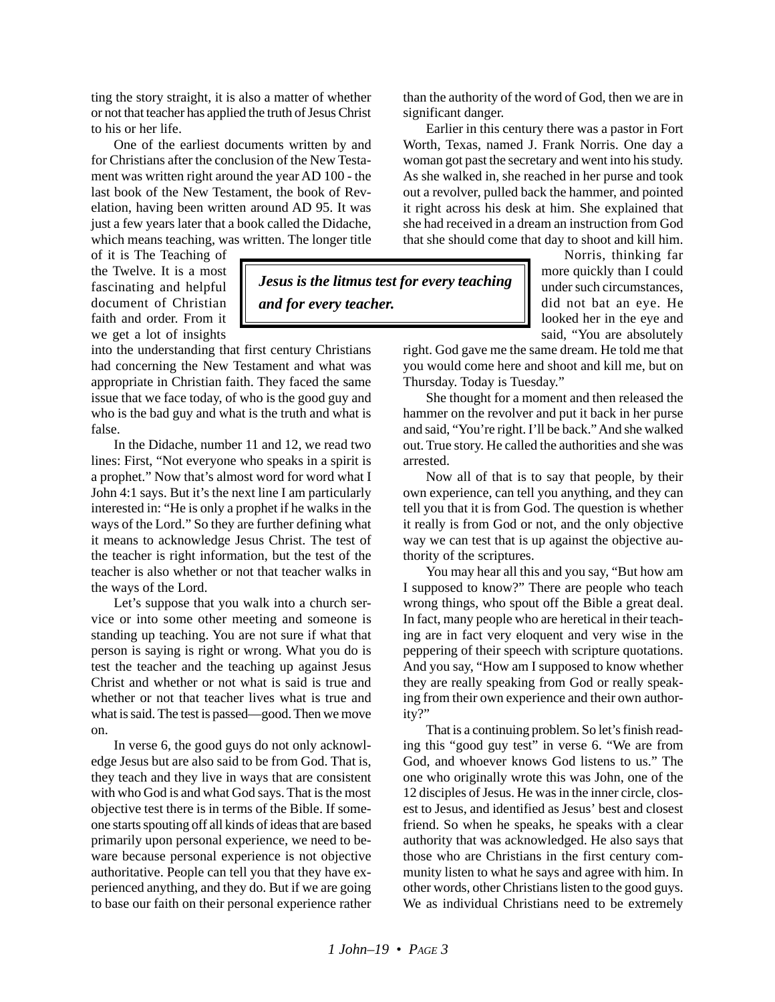ting the story straight, it is also a matter of whether or not that teacher has applied the truth of Jesus Christ to his or her life.

One of the earliest documents written by and for Christians after the conclusion of the New Testament was written right around the year AD 100 - the last book of the New Testament, the book of Revelation, having been written around AD 95. It was just a few years later that a book called the Didache, which means teaching, was written. The longer title

of it is The Teaching of the Twelve. It is a most fascinating and helpful document of Christian faith and order. From it we get a lot of insights

into the understanding that first century Christians had concerning the New Testament and what was appropriate in Christian faith. They faced the same issue that we face today, of who is the good guy and who is the bad guy and what is the truth and what is false.

In the Didache, number 11 and 12, we read two lines: First, "Not everyone who speaks in a spirit is a prophet." Now that's almost word for word what I John 4:1 says. But it's the next line I am particularly interested in: "He is only a prophet if he walks in the ways of the Lord." So they are further defining what it means to acknowledge Jesus Christ. The test of the teacher is right information, but the test of the teacher is also whether or not that teacher walks in the ways of the Lord.

Let's suppose that you walk into a church service or into some other meeting and someone is standing up teaching. You are not sure if what that person is saying is right or wrong. What you do is test the teacher and the teaching up against Jesus Christ and whether or not what is said is true and whether or not that teacher lives what is true and what is said. The test is passed—good. Then we move on.

In verse 6, the good guys do not only acknowledge Jesus but are also said to be from God. That is, they teach and they live in ways that are consistent with who God is and what God says. That is the most objective test there is in terms of the Bible. If someone starts spouting off all kinds of ideas that are based primarily upon personal experience, we need to beware because personal experience is not objective authoritative. People can tell you that they have experienced anything, and they do. But if we are going to base our faith on their personal experience rather than the authority of the word of God, then we are in significant danger.

Earlier in this century there was a pastor in Fort Worth, Texas, named J. Frank Norris. One day a woman got past the secretary and went into his study. As she walked in, she reached in her purse and took out a revolver, pulled back the hammer, and pointed it right across his desk at him. She explained that she had received in a dream an instruction from God that she should come that day to shoot and kill him.

> Norris, thinking far more quickly than I could under such circumstances, did not bat an eye. He looked her in the eye and said, "You are absolutely

right. God gave me the same dream. He told me that you would come here and shoot and kill me, but on Thursday. Today is Tuesday."

She thought for a moment and then released the hammer on the revolver and put it back in her purse and said, "You're right. I'll be back." And she walked out. True story. He called the authorities and she was arrested.

Now all of that is to say that people, by their own experience, can tell you anything, and they can tell you that it is from God. The question is whether it really is from God or not, and the only objective way we can test that is up against the objective authority of the scriptures.

You may hear all this and you say, "But how am I supposed to know?" There are people who teach wrong things, who spout off the Bible a great deal. In fact, many people who are heretical in their teaching are in fact very eloquent and very wise in the peppering of their speech with scripture quotations. And you say, "How am I supposed to know whether they are really speaking from God or really speaking from their own experience and their own authority?"

That is a continuing problem. So let's finish reading this "good guy test" in verse 6. "We are from God, and whoever knows God listens to us." The one who originally wrote this was John, one of the 12 disciples of Jesus. He was in the inner circle, closest to Jesus, and identified as Jesus' best and closest friend. So when he speaks, he speaks with a clear authority that was acknowledged. He also says that those who are Christians in the first century community listen to what he says and agree with him. In other words, other Christians listen to the good guys. We as individual Christians need to be extremely

*Jesus is the litmus test for every teaching*

*and for every teacher.*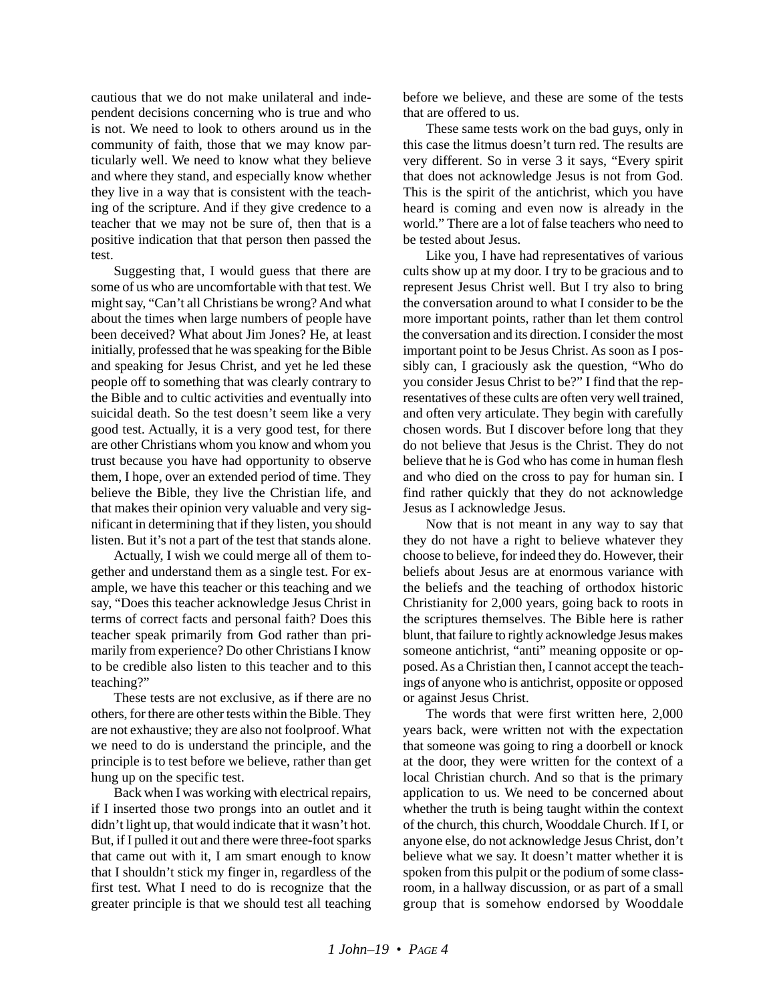cautious that we do not make unilateral and independent decisions concerning who is true and who is not. We need to look to others around us in the community of faith, those that we may know particularly well. We need to know what they believe and where they stand, and especially know whether they live in a way that is consistent with the teaching of the scripture. And if they give credence to a teacher that we may not be sure of, then that is a positive indication that that person then passed the test.

Suggesting that, I would guess that there are some of us who are uncomfortable with that test. We might say, "Can't all Christians be wrong? And what about the times when large numbers of people have been deceived? What about Jim Jones? He, at least initially, professed that he was speaking for the Bible and speaking for Jesus Christ, and yet he led these people off to something that was clearly contrary to the Bible and to cultic activities and eventually into suicidal death. So the test doesn't seem like a very good test. Actually, it is a very good test, for there are other Christians whom you know and whom you trust because you have had opportunity to observe them, I hope, over an extended period of time. They believe the Bible, they live the Christian life, and that makes their opinion very valuable and very significant in determining that if they listen, you should listen. But it's not a part of the test that stands alone.

Actually, I wish we could merge all of them together and understand them as a single test. For example, we have this teacher or this teaching and we say, "Does this teacher acknowledge Jesus Christ in terms of correct facts and personal faith? Does this teacher speak primarily from God rather than primarily from experience? Do other Christians I know to be credible also listen to this teacher and to this teaching?"

These tests are not exclusive, as if there are no others, for there are other tests within the Bible. They are not exhaustive; they are also not foolproof. What we need to do is understand the principle, and the principle is to test before we believe, rather than get hung up on the specific test.

Back when I was working with electrical repairs, if I inserted those two prongs into an outlet and it didn't light up, that would indicate that it wasn't hot. But, if I pulled it out and there were three-foot sparks that came out with it, I am smart enough to know that I shouldn't stick my finger in, regardless of the first test. What I need to do is recognize that the greater principle is that we should test all teaching before we believe, and these are some of the tests that are offered to us.

These same tests work on the bad guys, only in this case the litmus doesn't turn red. The results are very different. So in verse 3 it says, "Every spirit that does not acknowledge Jesus is not from God. This is the spirit of the antichrist, which you have heard is coming and even now is already in the world." There are a lot of false teachers who need to be tested about Jesus.

Like you, I have had representatives of various cults show up at my door. I try to be gracious and to represent Jesus Christ well. But I try also to bring the conversation around to what I consider to be the more important points, rather than let them control the conversation and its direction. I consider the most important point to be Jesus Christ. As soon as I possibly can, I graciously ask the question, "Who do you consider Jesus Christ to be?" I find that the representatives of these cults are often very well trained, and often very articulate. They begin with carefully chosen words. But I discover before long that they do not believe that Jesus is the Christ. They do not believe that he is God who has come in human flesh and who died on the cross to pay for human sin. I find rather quickly that they do not acknowledge Jesus as I acknowledge Jesus.

Now that is not meant in any way to say that they do not have a right to believe whatever they choose to believe, for indeed they do. However, their beliefs about Jesus are at enormous variance with the beliefs and the teaching of orthodox historic Christianity for 2,000 years, going back to roots in the scriptures themselves. The Bible here is rather blunt, that failure to rightly acknowledge Jesus makes someone antichrist, "anti" meaning opposite or opposed. As a Christian then, I cannot accept the teachings of anyone who is antichrist, opposite or opposed or against Jesus Christ.

The words that were first written here, 2,000 years back, were written not with the expectation that someone was going to ring a doorbell or knock at the door, they were written for the context of a local Christian church. And so that is the primary application to us. We need to be concerned about whether the truth is being taught within the context of the church, this church, Wooddale Church. If I, or anyone else, do not acknowledge Jesus Christ, don't believe what we say. It doesn't matter whether it is spoken from this pulpit or the podium of some classroom, in a hallway discussion, or as part of a small group that is somehow endorsed by Wooddale